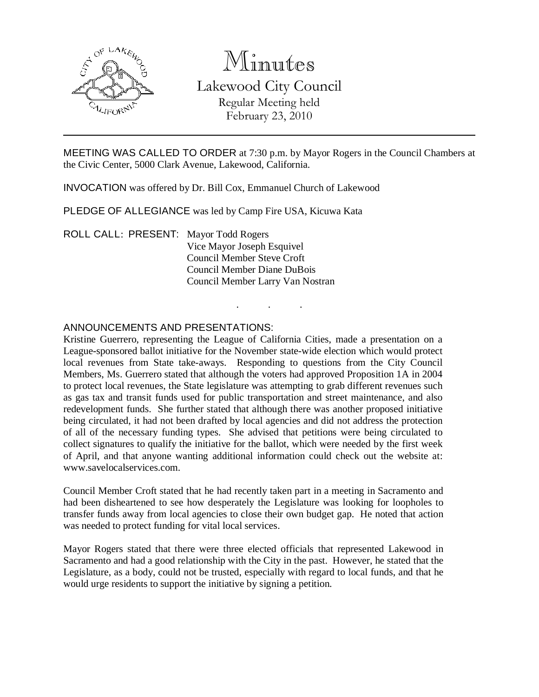

# Minutes

Lakewood City Council Regular Meeting held February 23, 2010

MEETING WAS CALLED TO ORDER at 7:30 p.m. by Mayor Rogers in the Council Chambers at the Civic Center, 5000 Clark Avenue, Lakewood, California.

. . .

INVOCATION was offered by Dr. Bill Cox, Emmanuel Church of Lakewood

PLEDGE OF ALLEGIANCE was led by Camp Fire USA, Kicuwa Kata

ROLL CALL: PRESENT: Mayor Todd Rogers Vice Mayor Joseph Esquivel Council Member Steve Croft Council Member Diane DuBois Council Member Larry Van Nostran

#### ANNOUNCEMENTS AND PRESENTATIONS:

Kristine Guerrero, representing the League of California Cities, made a presentation on a League-sponsored ballot initiative for the November state-wide election which would protect local revenues from State take-aways. Responding to questions from the City Council Members, Ms. Guerrero stated that although the voters had approved Proposition 1A in 2004 to protect local revenues, the State legislature was attempting to grab different revenues such as gas tax and transit funds used for public transportation and street maintenance, and also redevelopment funds. She further stated that although there was another proposed initiative being circulated, it had not been drafted by local agencies and did not address the protection of all of the necessary funding types. She advised that petitions were being circulated to collect signatures to qualify the initiative for the ballot, which were needed by the first week of April, and that anyone wanting additional information could check out the website at: www.savelocalservices.com.

Council Member Croft stated that he had recently taken part in a meeting in Sacramento and had been disheartened to see how desperately the Legislature was looking for loopholes to transfer funds away from local agencies to close their own budget gap. He noted that action was needed to protect funding for vital local services.

Mayor Rogers stated that there were three elected officials that represented Lakewood in Sacramento and had a good relationship with the City in the past. However, he stated that the Legislature, as a body, could not be trusted, especially with regard to local funds, and that he would urge residents to support the initiative by signing a petition.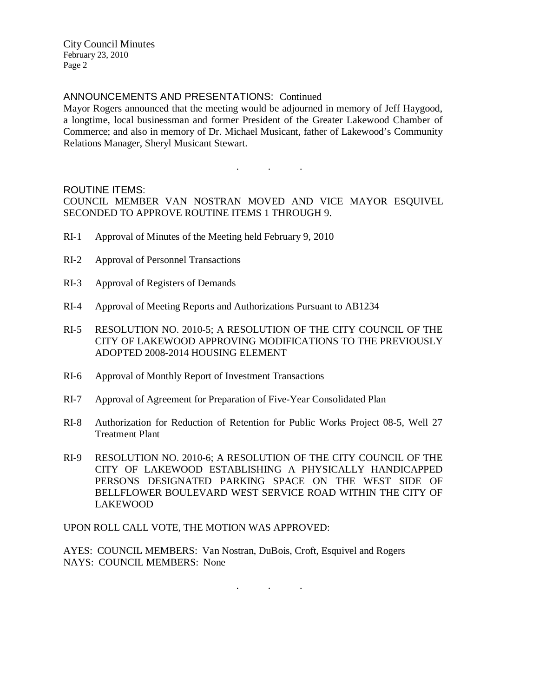#### ANNOUNCEMENTS AND PRESENTATIONS: Continued

Mayor Rogers announced that the meeting would be adjourned in memory of Jeff Haygood, a longtime, local businessman and former President of the Greater Lakewood Chamber of Commerce; and also in memory of Dr. Michael Musicant, father of Lakewood's Community Relations Manager, Sheryl Musicant Stewart.

#### ROUTINE ITEMS:

COUNCIL MEMBER VAN NOSTRAN MOVED AND VICE MAYOR ESQUIVEL SECONDED TO APPROVE ROUTINE ITEMS 1 THROUGH 9.

. . .

- RI-1 Approval of Minutes of the Meeting held February 9, 2010
- RI-2 Approval of Personnel Transactions
- RI-3 Approval of Registers of Demands
- RI-4 Approval of Meeting Reports and Authorizations Pursuant to AB1234
- RI-5 RESOLUTION NO. 2010-5; A RESOLUTION OF THE CITY COUNCIL OF THE CITY OF LAKEWOOD APPROVING MODIFICATIONS TO THE PREVIOUSLY ADOPTED 2008-2014 HOUSING ELEMENT
- RI-6 Approval of Monthly Report of Investment Transactions
- RI-7 Approval of Agreement for Preparation of Five-Year Consolidated Plan
- RI-8 Authorization for Reduction of Retention for Public Works Project 08-5, Well 27 Treatment Plant
- RI-9 RESOLUTION NO. 2010-6; A RESOLUTION OF THE CITY COUNCIL OF THE CITY OF LAKEWOOD ESTABLISHING A PHYSICALLY HANDICAPPED PERSONS DESIGNATED PARKING SPACE ON THE WEST SIDE OF BELLFLOWER BOULEVARD WEST SERVICE ROAD WITHIN THE CITY OF LAKEWOOD

UPON ROLL CALL VOTE, THE MOTION WAS APPROVED:

AYES: COUNCIL MEMBERS: Van Nostran, DuBois, Croft, Esquivel and Rogers NAYS: COUNCIL MEMBERS: None

. . .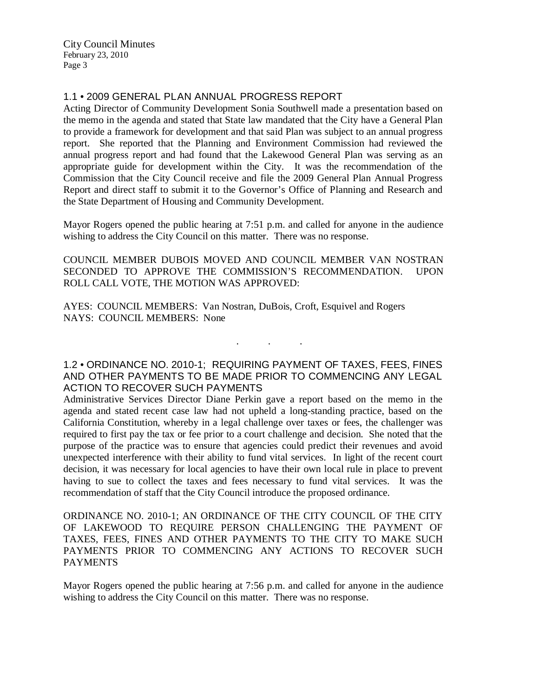# 1.1 • 2009 GENERAL PLAN ANNUAL PROGRESS REPORT

Acting Director of Community Development Sonia Southwell made a presentation based on the memo in the agenda and stated that State law mandated that the City have a General Plan to provide a framework for development and that said Plan was subject to an annual progress report. She reported that the Planning and Environment Commission had reviewed the annual progress report and had found that the Lakewood General Plan was serving as an appropriate guide for development within the City. It was the recommendation of the Commission that the City Council receive and file the 2009 General Plan Annual Progress Report and direct staff to submit it to the Governor's Office of Planning and Research and the State Department of Housing and Community Development.

Mayor Rogers opened the public hearing at 7:51 p.m. and called for anyone in the audience wishing to address the City Council on this matter. There was no response.

COUNCIL MEMBER DUBOIS MOVED AND COUNCIL MEMBER VAN NOSTRAN SECONDED TO APPROVE THE COMMISSION'S RECOMMENDATION. UPON ROLL CALL VOTE, THE MOTION WAS APPROVED:

AYES: COUNCIL MEMBERS: Van Nostran, DuBois, Croft, Esquivel and Rogers NAYS: COUNCIL MEMBERS: None

# 1.2 • ORDINANCE NO. 2010-1; REQUIRING PAYMENT OF TAXES, FEES, FINES AND OTHER PAYMENTS TO BE MADE PRIOR TO COMMENCING ANY LEGAL ACTION TO RECOVER SUCH PAYMENTS

. . .

Administrative Services Director Diane Perkin gave a report based on the memo in the agenda and stated recent case law had not upheld a long-standing practice, based on the California Constitution, whereby in a legal challenge over taxes or fees, the challenger was required to first pay the tax or fee prior to a court challenge and decision. She noted that the purpose of the practice was to ensure that agencies could predict their revenues and avoid unexpected interference with their ability to fund vital services. In light of the recent court decision, it was necessary for local agencies to have their own local rule in place to prevent having to sue to collect the taxes and fees necessary to fund vital services. It was the recommendation of staff that the City Council introduce the proposed ordinance.

ORDINANCE NO. 2010-1; AN ORDINANCE OF THE CITY COUNCIL OF THE CITY OF LAKEWOOD TO REQUIRE PERSON CHALLENGING THE PAYMENT OF TAXES, FEES, FINES AND OTHER PAYMENTS TO THE CITY TO MAKE SUCH PAYMENTS PRIOR TO COMMENCING ANY ACTIONS TO RECOVER SUCH PAYMENTS

Mayor Rogers opened the public hearing at 7:56 p.m. and called for anyone in the audience wishing to address the City Council on this matter. There was no response.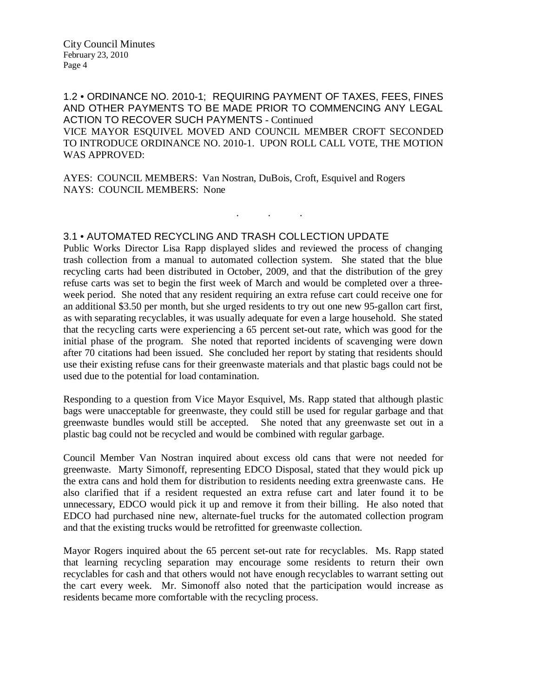1.2 • ORDINANCE NO. 2010-1; REQUIRING PAYMENT OF TAXES, FEES, FINES AND OTHER PAYMENTS TO BE MADE PRIOR TO COMMENCING ANY LEGAL ACTION TO RECOVER SUCH PAYMENTS - Continued VICE MAYOR ESQUIVEL MOVED AND COUNCIL MEMBER CROFT SECONDED TO INTRODUCE ORDINANCE NO. 2010-1. UPON ROLL CALL VOTE, THE MOTION WAS APPROVED:

. . .

AYES: COUNCIL MEMBERS: Van Nostran, DuBois, Croft, Esquivel and Rogers NAYS: COUNCIL MEMBERS: None

#### 3.1 • AUTOMATED RECYCLING AND TRASH COLLECTION UPDATE

Public Works Director Lisa Rapp displayed slides and reviewed the process of changing trash collection from a manual to automated collection system. She stated that the blue recycling carts had been distributed in October, 2009, and that the distribution of the grey refuse carts was set to begin the first week of March and would be completed over a threeweek period. She noted that any resident requiring an extra refuse cart could receive one for an additional \$3.50 per month, but she urged residents to try out one new 95-gallon cart first, as with separating recyclables, it was usually adequate for even a large household. She stated that the recycling carts were experiencing a 65 percent set-out rate, which was good for the initial phase of the program. She noted that reported incidents of scavenging were down after 70 citations had been issued. She concluded her report by stating that residents should use their existing refuse cans for their greenwaste materials and that plastic bags could not be used due to the potential for load contamination.

Responding to a question from Vice Mayor Esquivel, Ms. Rapp stated that although plastic bags were unacceptable for greenwaste, they could still be used for regular garbage and that greenwaste bundles would still be accepted. She noted that any greenwaste set out in a plastic bag could not be recycled and would be combined with regular garbage.

Council Member Van Nostran inquired about excess old cans that were not needed for greenwaste. Marty Simonoff, representing EDCO Disposal, stated that they would pick up the extra cans and hold them for distribution to residents needing extra greenwaste cans. He also clarified that if a resident requested an extra refuse cart and later found it to be unnecessary, EDCO would pick it up and remove it from their billing. He also noted that EDCO had purchased nine new, alternate-fuel trucks for the automated collection program and that the existing trucks would be retrofitted for greenwaste collection.

Mayor Rogers inquired about the 65 percent set-out rate for recyclables. Ms. Rapp stated that learning recycling separation may encourage some residents to return their own recyclables for cash and that others would not have enough recyclables to warrant setting out the cart every week. Mr. Simonoff also noted that the participation would increase as residents became more comfortable with the recycling process.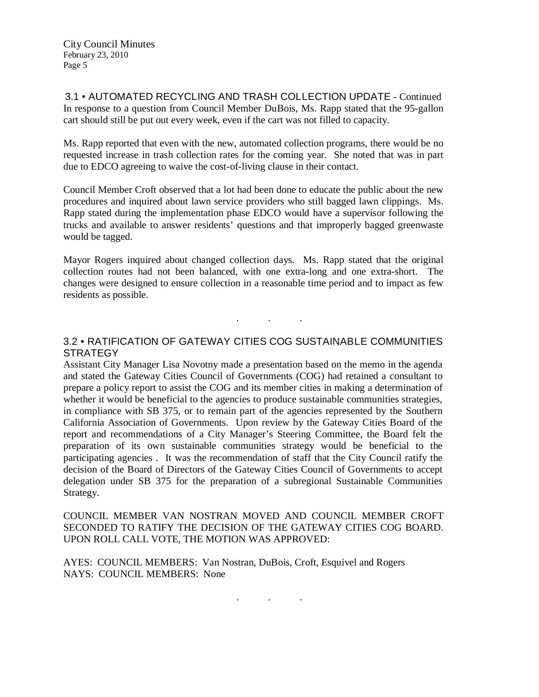3.1 • AUTOMATED RECYCLING AND TRASH COLLECTION UPDATE - Continued In response to a question from Council Member DuBois, Ms. Rapp stated that the 95-gallon cart should still be put out every week, even if the cart was not filled to capacity.

Ms. Rapp reported that even with the new, automated collection programs, there would be no requested increase in trash collection rates for the coming year. She noted that was in part due to EDCO agreeing to waive the cost-of-living clause in their contact.

Council Member Croft observed that a lot had been done to educate the public about the new procedures and inquired about lawn service providers who still bagged lawn clippings. Ms. Rapp stated during the implementation phase EDCO would have a supervisor following the trucks and available to answer residents' questions and that improperly bagged greenwaste would be tagged.

Mayor Rogers inquired about changed collection days. Ms. Rapp stated that the original collection routes had not been balanced, with one extra-long and one extra-short. The changes were designed to ensure collection in a reasonable time period and to impact as few residents as possible.

## 3.2 • RATIFICATION OF GATEWAY CITIES COG SUSTAINABLE COMMUNITIES **STRATEGY**

. . .

Assistant City Manager Lisa Novotny made a presentation based on the memo in the agenda and stated the Gateway Cities Council of Governments (COG) had retained a consultant to prepare a policy report to assist the COG and its member cities in making a determination of whether it would be beneficial to the agencies to produce sustainable communities strategies, in compliance with SB 375, or to remain part of the agencies represented by the Southern California Association of Governments. Upon review by the Gateway Cities Board of the report and recommendations of a City Manager's Steering Committee, the Board felt the preparation of its own sustainable communities strategy would be beneficial to the participating agencies . It was the recommendation of staff that the City Council ratify the decision of the Board of Directors of the Gateway Cities Council of Governments to accept delegation under SB 375 for the preparation of a subregional Sustainable Communities Strategy.

COUNCIL MEMBER VAN NOSTRAN MOVED AND COUNCIL MEMBER CROFT SECONDED TO RATIFY THE DECISION OF THE GATEWAY CITIES COG BOARD. UPON ROLL CALL VOTE, THE MOTION WAS APPROVED:

AYES: COUNCIL MEMBERS: Van Nostran, DuBois, Croft, Esquivel and Rogers NAYS: COUNCIL MEMBERS: None

. . .